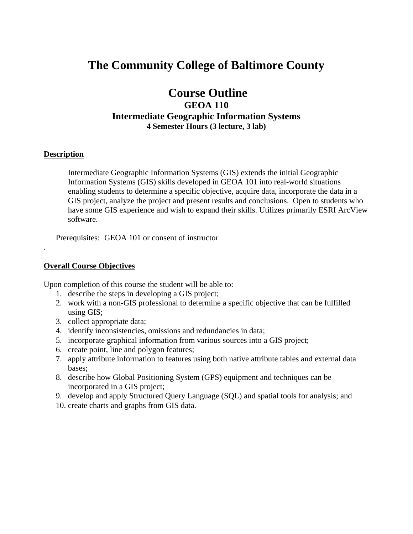# **The Community College of Baltimore County**

# **Course Outline GEOA 110 Intermediate Geographic Information Systems 4 Semester Hours (3 lecture, 3 lab)**

#### **Description**

.

Intermediate Geographic Information Systems (GIS) extends the initial Geographic Information Systems (GIS) skills developed in GEOA 101 into real-world situations enabling students to determine a specific objective, acquire data, incorporate the data in a GIS project, analyze the project and present results and conclusions. Open to students who have some GIS experience and wish to expand their skills. Utilizes primarily ESRI ArcView software.

Prerequisites: GEOA 101 or consent of instructor

#### **Overall Course Objectives**

Upon completion of this course the student will be able to:

- 1. describe the steps in developing a GIS project;
- 2. work with a non-GIS professional to determine a specific objective that can be fulfilled using GIS;
- 3. collect appropriate data;
- 4. identify inconsistencies, omissions and redundancies in data;
- 5. incorporate graphical information from various sources into a GIS project;
- 6. create point, line and polygon features;
- 7. apply attribute information to features using both native attribute tables and external data bases;
- 8. describe how Global Positioning System (GPS) equipment and techniques can be incorporated in a GIS project;
- 9. develop and apply Structured Query Language (SQL) and spatial tools for analysis; and
- 10. create charts and graphs from GIS data.